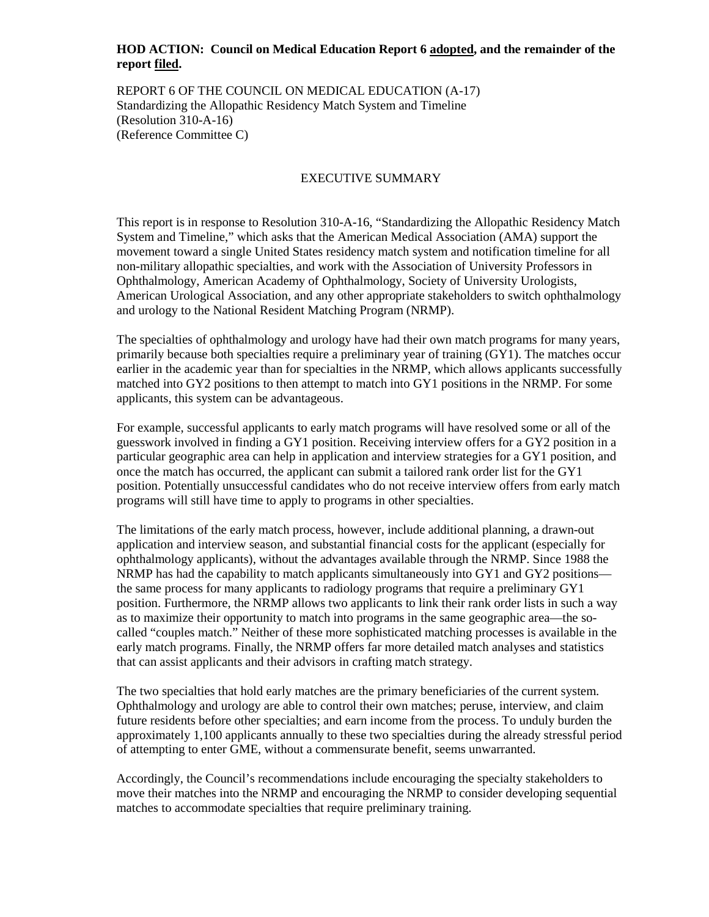### **HOD ACTION: Council on Medical Education Report 6 adopted, and the remainder of the report filed.**

REPORT 6 OF THE COUNCIL ON MEDICAL EDUCATION (A-17) Standardizing the Allopathic Residency Match System and Timeline (Resolution 310-A-16) (Reference Committee C)

### EXECUTIVE SUMMARY

This report is in response to Resolution 310-A-16, "Standardizing the Allopathic Residency Match System and Timeline," which asks that the American Medical Association (AMA) support the movement toward a single United States residency match system and notification timeline for all non-military allopathic specialties, and work with the Association of University Professors in Ophthalmology, American Academy of Ophthalmology, Society of University Urologists, American Urological Association, and any other appropriate stakeholders to switch ophthalmology and urology to the National Resident Matching Program (NRMP).

The specialties of ophthalmology and urology have had their own match programs for many years, primarily because both specialties require a preliminary year of training (GY1). The matches occur earlier in the academic year than for specialties in the NRMP, which allows applicants successfully matched into GY2 positions to then attempt to match into GY1 positions in the NRMP. For some applicants, this system can be advantageous.

For example, successful applicants to early match programs will have resolved some or all of the guesswork involved in finding a GY1 position. Receiving interview offers for a GY2 position in a particular geographic area can help in application and interview strategies for a GY1 position, and once the match has occurred, the applicant can submit a tailored rank order list for the GY1 position. Potentially unsuccessful candidates who do not receive interview offers from early match programs will still have time to apply to programs in other specialties.

The limitations of the early match process, however, include additional planning, a drawn-out application and interview season, and substantial financial costs for the applicant (especially for ophthalmology applicants), without the advantages available through the NRMP. Since 1988 the NRMP has had the capability to match applicants simultaneously into GY1 and GY2 positions the same process for many applicants to radiology programs that require a preliminary GY1 position. Furthermore, the NRMP allows two applicants to link their rank order lists in such a way as to maximize their opportunity to match into programs in the same geographic area—the socalled "couples match." Neither of these more sophisticated matching processes is available in the early match programs. Finally, the NRMP offers far more detailed match analyses and statistics that can assist applicants and their advisors in crafting match strategy.

The two specialties that hold early matches are the primary beneficiaries of the current system. Ophthalmology and urology are able to control their own matches; peruse, interview, and claim future residents before other specialties; and earn income from the process. To unduly burden the approximately 1,100 applicants annually to these two specialties during the already stressful period of attempting to enter GME, without a commensurate benefit, seems unwarranted.

Accordingly, the Council's recommendations include encouraging the specialty stakeholders to move their matches into the NRMP and encouraging the NRMP to consider developing sequential matches to accommodate specialties that require preliminary training.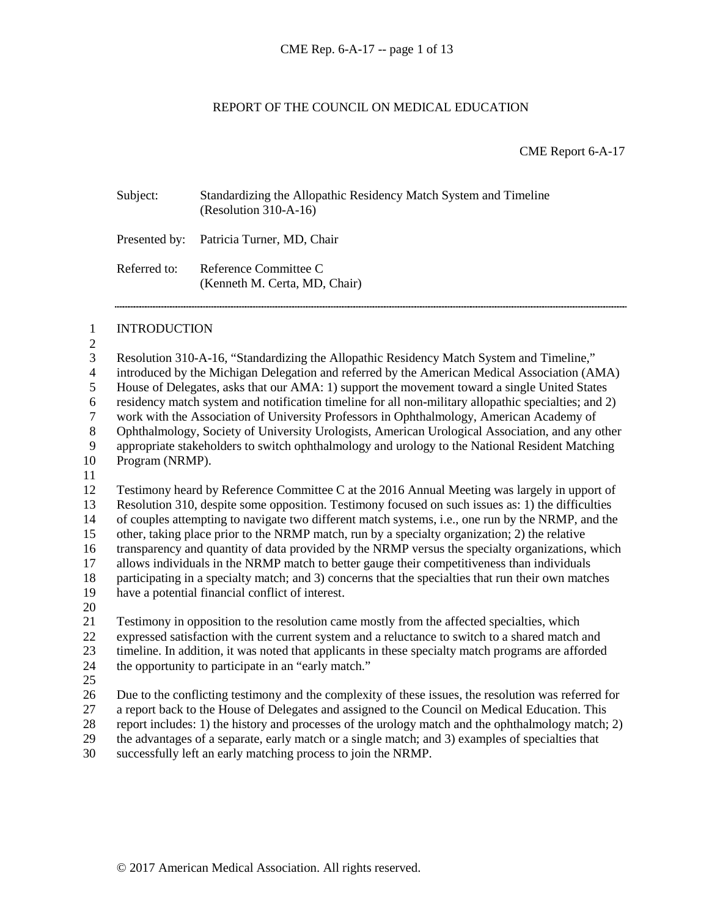### REPORT OF THE COUNCIL ON MEDICAL EDUCATION

CME Report 6-A-17

| Subject:     | Standardizing the Allopathic Residency Match System and Timeline<br>$(Resolution 310-A-16)$ |
|--------------|---------------------------------------------------------------------------------------------|
|              | Presented by: Patricia Turner, MD, Chair                                                    |
| Referred to: | Reference Committee C<br>(Kenneth M. Certa, MD, Chair)                                      |

#### INTRODUCTION

 $\frac{2}{3}$ 

 Resolution 310-A-16, "Standardizing the Allopathic Residency Match System and Timeline," introduced by the Michigan Delegation and referred by the American Medical Association (AMA) House of Delegates, asks that our AMA: 1) support the movement toward a single United States residency match system and notification timeline for all non-military allopathic specialties; and 2) work with the Association of University Professors in Ophthalmology, American Academy of 8 Ophthalmology, Society of University Urologists, American Urological Association, and any other<br>9 appropriate stakeholders to switch ophthalmology and urology to the National Resident Matching 9 appropriate stakeholders to switch ophthalmology and urology to the National Resident Matching<br>10 Program (NRMP). Program (NRMP).

 Testimony heard by Reference Committee C at the 2016 Annual Meeting was largely in upport of Resolution 310, despite some opposition. Testimony focused on such issues as: 1) the difficulties of couples attempting to navigate two different match systems, i.e., one run by the NRMP, and the other, taking place prior to the NRMP match, run by a specialty organization; 2) the relative transparency and quantity of data provided by the NRMP versus the specialty organizations, which allows individuals in the NRMP match to better gauge their competitiveness than individuals participating in a specialty match; and 3) concerns that the specialties that run their own matches

- have a potential financial conflict of interest.
- 

 Testimony in opposition to the resolution came mostly from the affected specialties, which expressed satisfaction with the current system and a reluctance to switch to a shared match and timeline. In addition, it was noted that applicants in these specialty match programs are afforded

- the opportunity to participate in an "early match."
- 

 Due to the conflicting testimony and the complexity of these issues, the resolution was referred for a report back to the House of Delegates and assigned to the Council on Medical Education. This

28 report includes: 1) the history and processes of the urology match and the ophthalmology match; 2)<br>29 the advantages of a separate, early match or a single match; and 3) examples of specialties that

the advantages of a separate, early match or a single match; and 3) examples of specialties that

successfully left an early matching process to join the NRMP.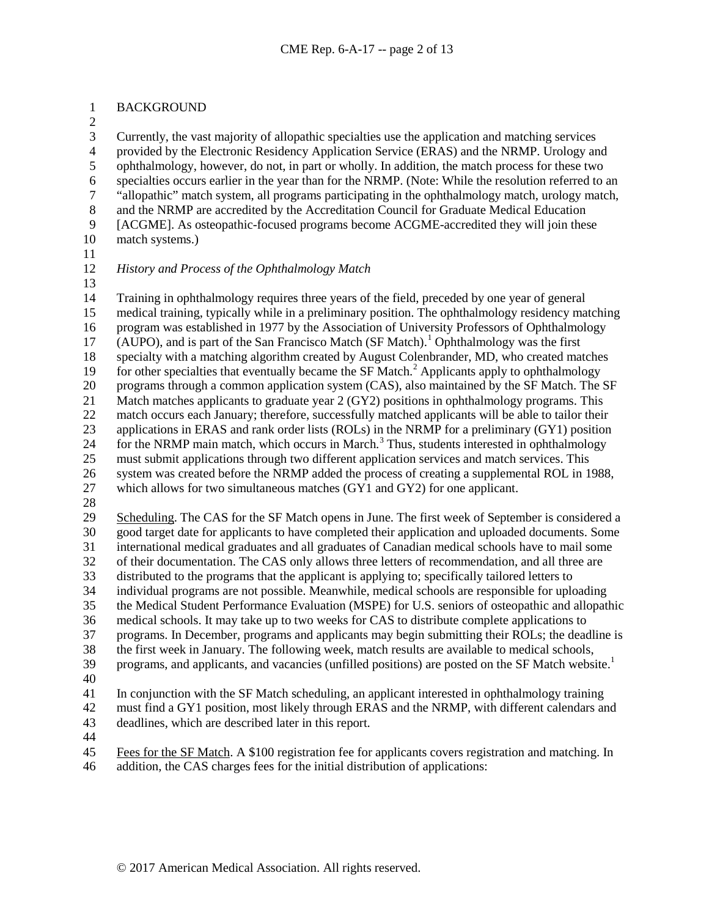### BACKGROUND

 $\frac{2}{3}$ 

 Currently, the vast majority of allopathic specialties use the application and matching services 4 provided by the Electronic Residency Application Service (ERAS) and the NRMP. Urology and<br>5 ophthalmology, however, do not, in part or wholly. In addition, the match process for these two ophthalmology, however, do not, in part or wholly. In addition, the match process for these two specialties occurs earlier in the year than for the NRMP. (Note: While the resolution referred to an <sup>7</sup> "allopathic" match system, all programs participating in the ophthalmology match, urology match, and the NRMP are accredited by the Accreditation Council for Graduate Medical Education and the NRMP are accredited by the Accreditation Council for Graduate Medical Education [ACGME]. As osteopathic-focused programs become ACGME-accredited they will join these match systems.)

# *History and Process of the Ophthalmology Match*

 Training in ophthalmology requires three years of the field, preceded by one year of general medical training, typically while in a preliminary position. The ophthalmology residency matching program was established in 1977 by the Association of University Professors of Ophthalmology 7 (AUPO), and is part of the San Francisco Match (SF Match).<sup>1</sup> Ophthalmology was the first specialty with a matching algorithm created by August Colenbrander, MD, who created matches for other specialties that eventually became the SF Match.<sup>[2](#page-14-1)</sup> Applicants apply to ophthalmology programs through a common application system (CAS), also maintained by the SF Match. The SF Match matches applicants to graduate year 2 (GY2) positions in ophthalmology programs. This match occurs each January; therefore, successfully matched applicants will be able to tailor their applications in ERAS and rank order lists (ROLs) in the NRMP for a preliminary (GY1) position 24 for the NRMP main match, which occurs in March.<sup>[3](#page-14-2)</sup> Thus, students interested in ophthalmology must submit applications through two different application services and match services. This system was created before the NRMP added the process of creating a supplemental ROL in 1988, which allows for two simultaneous matches (GY1 and GY2) for one applicant.

 Scheduling. The CAS for the SF Match opens in June. The first week of September is considered a good target date for applicants to have completed their application and uploaded documents. Some international medical graduates and all graduates of Canadian medical schools have to mail some of their documentation. The CAS only allows three letters of recommendation, and all three are distributed to the programs that the applicant is applying to; specifically tailored letters to individual programs are not possible. Meanwhile, medical schools are responsible for uploading the Medical Student Performance Evaluation (MSPE) for U.S. seniors of osteopathic and allopathic medical schools. It may take up to two weeks for CAS to distribute complete applications to programs. In December, programs and applicants may begin submitting their ROLs; the deadline is the first week in January. The following week, match results are available to medical schools, 39 programs, and applicants, and vacancies (unfilled positions) are posted on the SF Match website. $1\overline{ }$ 

 In conjunction with the SF Match scheduling, an applicant interested in ophthalmology training must find a GY1 position, most likely through ERAS and the NRMP, with different calendars and deadlines, which are described later in this report.

 Fees for the SF Match. A \$100 registration fee for applicants covers registration and matching. In addition, the CAS charges fees for the initial distribution of applications: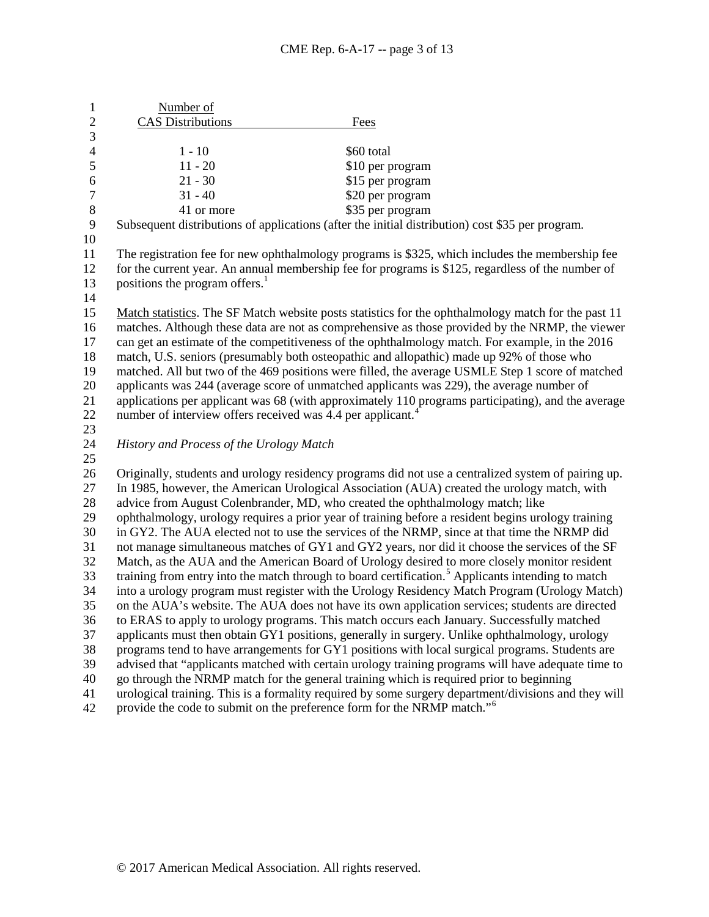| 1              | Number of                                                                                          |                                                                                                                                                                                                       |  |
|----------------|----------------------------------------------------------------------------------------------------|-------------------------------------------------------------------------------------------------------------------------------------------------------------------------------------------------------|--|
| $\overline{2}$ | <b>CAS</b> Distributions                                                                           | Fees                                                                                                                                                                                                  |  |
| 3              |                                                                                                    |                                                                                                                                                                                                       |  |
| $\overline{4}$ | $1 - 10$                                                                                           | \$60 total                                                                                                                                                                                            |  |
| 5              | $11 - 20$                                                                                          | \$10 per program                                                                                                                                                                                      |  |
| 6              | $21 - 30$                                                                                          | \$15 per program                                                                                                                                                                                      |  |
| 7              | $31 - 40$                                                                                          | \$20 per program                                                                                                                                                                                      |  |
| 8              | 41 or more                                                                                         | \$35 per program                                                                                                                                                                                      |  |
| 9              |                                                                                                    | Subsequent distributions of applications (after the initial distribution) cost \$35 per program.                                                                                                      |  |
| 10             |                                                                                                    |                                                                                                                                                                                                       |  |
| 11             | The registration fee for new ophthalmology programs is \$325, which includes the membership fee    |                                                                                                                                                                                                       |  |
| 12             | for the current year. An annual membership fee for programs is \$125, regardless of the number of  |                                                                                                                                                                                                       |  |
| 13             | positions the program offers. <sup>1</sup>                                                         |                                                                                                                                                                                                       |  |
| 14             |                                                                                                    |                                                                                                                                                                                                       |  |
| 15             |                                                                                                    | Match statistics. The SF Match website posts statistics for the ophthalmology match for the past 11                                                                                                   |  |
| 16             |                                                                                                    | matches. Although these data are not as comprehensive as those provided by the NRMP, the viewer                                                                                                       |  |
| 17             | can get an estimate of the competitiveness of the ophthalmology match. For example, in the 2016    |                                                                                                                                                                                                       |  |
| 18             | match, U.S. seniors (presumably both osteopathic and allopathic) made up 92% of those who          |                                                                                                                                                                                                       |  |
| 19             | matched. All but two of the 469 positions were filled, the average USMLE Step 1 score of matched   |                                                                                                                                                                                                       |  |
| 20             | applicants was 244 (average score of unmatched applicants was 229), the average number of          |                                                                                                                                                                                                       |  |
| 21             | applications per applicant was 68 (with approximately 110 programs participating), and the average |                                                                                                                                                                                                       |  |
| 22             | number of interview offers received was 4.4 per applicant. <sup>4</sup>                            |                                                                                                                                                                                                       |  |
| 23             |                                                                                                    |                                                                                                                                                                                                       |  |
| 24             | History and Process of the Urology Match                                                           |                                                                                                                                                                                                       |  |
| 25             |                                                                                                    |                                                                                                                                                                                                       |  |
| 26             |                                                                                                    | Originally, students and urology residency programs did not use a centralized system of pairing up.                                                                                                   |  |
| 27             |                                                                                                    | In 1985, however, the American Urological Association (AUA) created the urology match, with                                                                                                           |  |
| 28             | advice from August Colenbrander, MD, who created the ophthalmology match; like                     |                                                                                                                                                                                                       |  |
| 29             |                                                                                                    | ophthalmology, urology requires a prior year of training before a resident begins urology training                                                                                                    |  |
| 30             |                                                                                                    | in GY2. The AUA elected not to use the services of the NRMP, since at that time the NRMP did                                                                                                          |  |
| 31             |                                                                                                    | not manage simultaneous matches of GY1 and GY2 years, nor did it choose the services of the SF                                                                                                        |  |
| 32             |                                                                                                    | Match, as the AUA and the American Board of Urology desired to more closely monitor resident                                                                                                          |  |
| 33             |                                                                                                    | training from entry into the match through to board certification. <sup>5</sup> Applicants intending to match                                                                                         |  |
| 34             |                                                                                                    | into a urology program must register with the Urology Residency Match Program (Urology Match)                                                                                                         |  |
| 35             |                                                                                                    | on the AUA's website. The AUA does not have its own application services; students are directed                                                                                                       |  |
| 36             |                                                                                                    | to ERAS to apply to urology programs. This match occurs each January. Successfully matched                                                                                                            |  |
| 37             |                                                                                                    | applicants must then obtain GY1 positions, generally in surgery. Unlike ophthalmology, urology                                                                                                        |  |
| 38<br>39       |                                                                                                    | programs tend to have arrangements for GY1 positions with local surgical programs. Students are<br>advised that "applicants matched with certain urology training programs will have adequate time to |  |
| 40             |                                                                                                    | go through the NRMP match for the general training which is required prior to beginning                                                                                                               |  |
|                |                                                                                                    |                                                                                                                                                                                                       |  |
| 41             |                                                                                                    | urological training. This is a formality required by some surgery department/divisions and they will                                                                                                  |  |

42 provide the code to submit on the preference form for the NRMP match."<sup>[6](#page-14-5)</sup>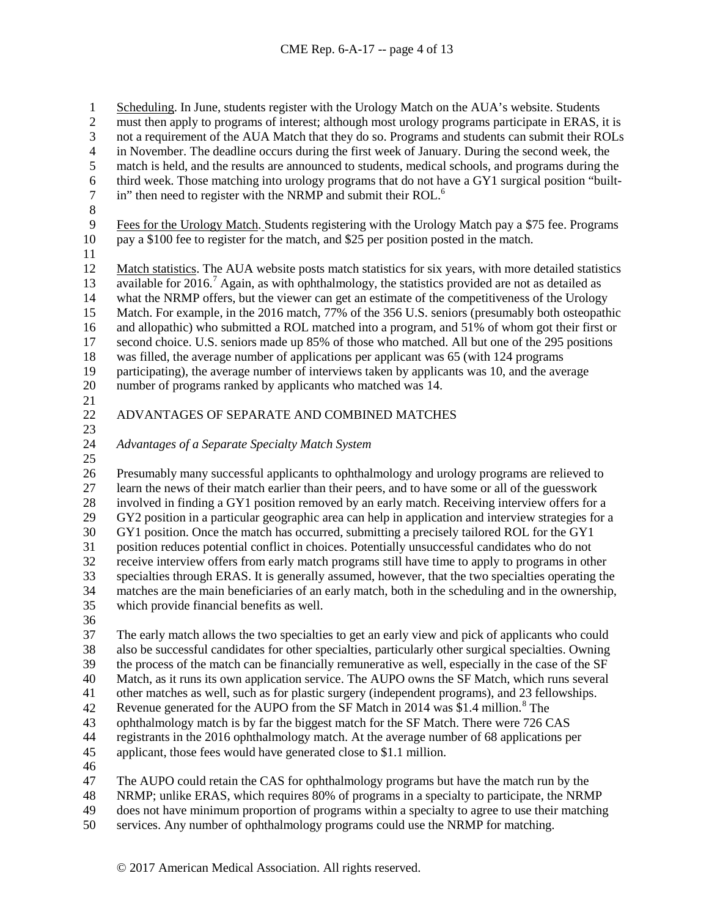1 Scheduling. In June, students register with the Urology Match on the AUA's website. Students<br>2 must then apply to programs of interest; although most urology programs participate in ERAS,

2 must then apply to programs of interest; although most urology programs participate in ERAS, it is<br>3 not a requirement of the AUA Match that they do so. Programs and students can submit their ROLs

not a requirement of the AUA Match that they do so. Programs and students can submit their ROLs

4 in November. The deadline occurs during the first week of January. During the second week, the match is held, and the results are announced to students, medical schools, and programs during the

- match is held, and the results are announced to students, medical schools, and programs during the
- 6 third week. Those matching into urology programs that do not have a GY1 surgical position "built-<br>
7 in" then need to register with the NRMP and submit their ROL.  $\frac{6}{1}$ in" then need to register with the NRMP and submit their ROL.<sup>6</sup>
- 8<br>9

9 Fees for the Urology Match. Students registering with the Urology Match pay a \$75 fee. Programs pay a \$100 fee to register for the match, and \$25 per position posted in the match. pay a \$100 fee to register for the match, and \$25 per position posted in the match.

Match statistics. The AUA website posts match statistics for six years, with more detailed statistics

13 available for 2016.<sup>[7](#page-14-6)</sup> Again, as with ophthalmology, the statistics provided are not as detailed as

 what the NRMP offers, but the viewer can get an estimate of the competitiveness of the Urology Match. For example, in the 2016 match, 77% of the 356 U.S. seniors (presumably both osteopathic

and allopathic) who submitted a ROL matched into a program, and 51% of whom got their first or

second choice. U.S. seniors made up 85% of those who matched. All but one of the 295 positions

was filled, the average number of applications per applicant was 65 (with 124 programs

participating), the average number of interviews taken by applicants was 10, and the average

number of programs ranked by applicants who matched was 14.

 $\frac{21}{22}$ 

# ADVANTAGES OF SEPARATE AND COMBINED MATCHES

*Advantages of a Separate Specialty Match System*

 Presumably many successful applicants to ophthalmology and urology programs are relieved to learn the news of their match earlier than their peers, and to have some or all of the guesswork involved in finding a GY1 position removed by an early match. Receiving interview offers for a GY2 position in a particular geographic area can help in application and interview strategies for a GY1 position. Once the match has occurred, submitting a precisely tailored ROL for the GY1 31 position reduces potential conflict in choices. Potentially unsuccessful candidates who do not<br>32 receive interview offers from early match programs still have time to apply to programs in oth receive interview offers from early match programs still have time to apply to programs in other specialties through ERAS. It is generally assumed, however, that the two specialties operating the matches are the main beneficiaries of an early match, both in the scheduling and in the ownership, which provide financial benefits as well.

 The early match allows the two specialties to get an early view and pick of applicants who could also be successful candidates for other specialties, particularly other surgical specialties. Owning the process of the match can be financially remunerative as well, especially in the case of the SF Match, as it runs its own application service. The AUPO owns the SF Match, which runs several other matches as well, such as for plastic surgery (independent programs), and 23 fellowships. 42 Revenue generated for the AUPO from the SF Match in 2014 was \$1.4 million.<sup>[8](#page-14-7)</sup> The

ophthalmology match is by far the biggest match for the SF Match. There were 726 CAS

registrants in the 2016 ophthalmology match. At the average number of 68 applications per

applicant, those fees would have generated close to \$1.1 million.

The AUPO could retain the CAS for ophthalmology programs but have the match run by the

NRMP; unlike ERAS, which requires 80% of programs in a specialty to participate, the NRMP

does not have minimum proportion of programs within a specialty to agree to use their matching

services. Any number of ophthalmology programs could use the NRMP for matching.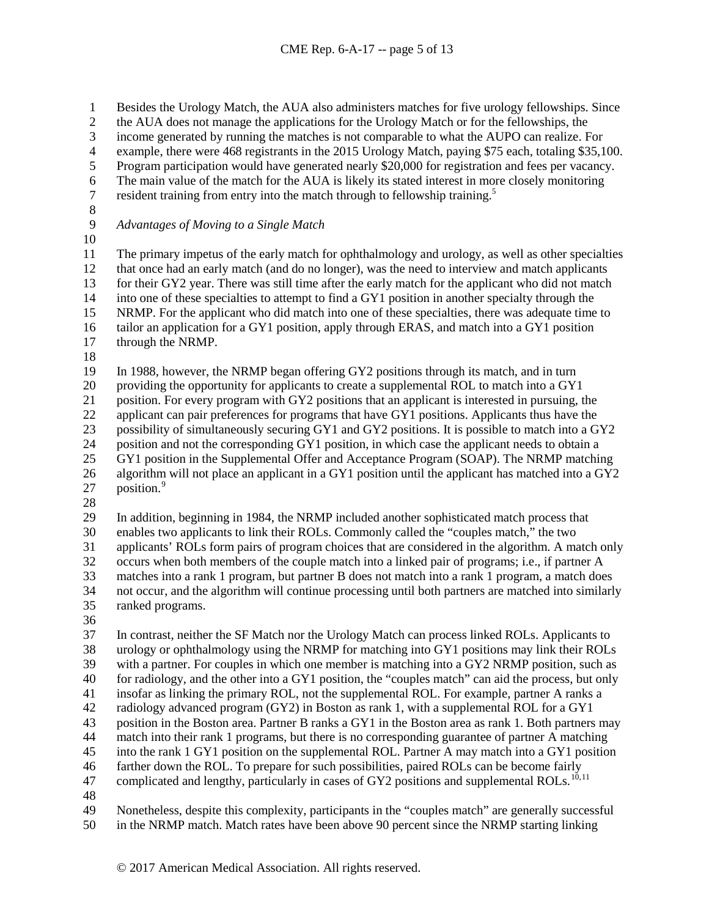1 Besides the Urology Match, the AUA also administers matches for five urology fellowships. Since<br>2 the AUA does not manage the applications for the Urology Match or for the fellowships, the

- 2 the AUA does not manage the applications for the Urology Match or for the fellowships, the<br>3 income generated by running the matches is not comparable to what the AUPO can realize.
- income generated by running the matches is not comparable to what the AUPO can realize. For
- 4 example, there were 468 registrants in the 2015 Urology Match, paying \$75 each, totaling \$35,100.<br>5 Program participation would have generated nearly \$20,000 for registration and fees per vacancy.
- Program participation would have generated nearly \$20,000 for registration and fees per vacancy.
- 6 The main value of the match for the AUA is likely its stated interest in more closely monitoring<br>  $\frac{1}{2}$  resident training from entry into the match through to fellowship training.<sup>5</sup>
- resident training from entry into the match through to fellowship training.<sup>5</sup>
- 
- *Advantages of Moving to a Single Match*
- 

 The primary impetus of the early match for ophthalmology and urology, as well as other specialties that once had an early match (and do no longer), was the need to interview and match applicants for their GY2 year. There was still time after the early match for the applicant who did not match into one of these specialties to attempt to find a GY1 position in another specialty through the NRMP. For the applicant who did match into one of these specialties, there was adequate time to tailor an application for a GY1 position, apply through ERAS, and match into a GY1 position through the NRMP.

In 1988, however, the NRMP began offering GY2 positions through its match, and in turn

providing the opportunity for applicants to create a supplemental ROL to match into a GY1

position. For every program with GY2 positions that an applicant is interested in pursuing, the

22 applicant can pair preferences for programs that have GY1 positions. Applicants thus have the

possibility of simultaneously securing GY1 and GY2 positions. It is possible to match into a GY2

24 position and not the corresponding GY1 position, in which case the applicant needs to obtain a<br>25 GY1 position in the Supplemental Offer and Acceptance Program (SOAP). The NRMP matching

- GY1 position in the Supplemental Offer and Acceptance Program (SOAP). The NRMP matching algorithm will not place an applicant in a GY1 position until the applicant has matched into a GY2
- 27 position.
- 

In addition, beginning in 1984, the NRMP included another sophisticated match process that

enables two applicants to link their ROLs. Commonly called the "couples match," the two

applicants' ROLs form pairs of program choices that are considered in the algorithm. A match only

 occurs when both members of the couple match into a linked pair of programs; i.e., if partner A matches into a rank 1 program, but partner B does not match into a rank 1 program, a match does

 not occur, and the algorithm will continue processing until both partners are matched into similarly ranked programs.

 In contrast, neither the SF Match nor the Urology Match can process linked ROLs. Applicants to urology or ophthalmology using the NRMP for matching into GY1 positions may link their ROLs with a partner. For couples in which one member is matching into a GY2 NRMP position, such as for radiology, and the other into a GY1 position, the "couples match" can aid the process, but only insofar as linking the primary ROL, not the supplemental ROL. For example, partner A ranks a radiology advanced program (GY2) in Boston as rank 1, with a supplemental ROL for a GY1 position in the Boston area. Partner B ranks a GY1 in the Boston area as rank 1. Both partners may match into their rank 1 programs, but there is no corresponding guarantee of partner A matching into the rank 1 GY1 position on the supplemental ROL. Partner A may match into a GY1 position farther down the ROL. To prepare for such possibilities, paired ROLs can be become fairly 47 complicated and lengthy, particularly in cases of GY2 positions and supplemental ROLs.<sup>[10](#page-14-9),[11](#page-14-10)</sup>

 Nonetheless, despite this complexity, participants in the "couples match" are generally successful in the NRMP match. Match rates have been above 90 percent since the NRMP starting linking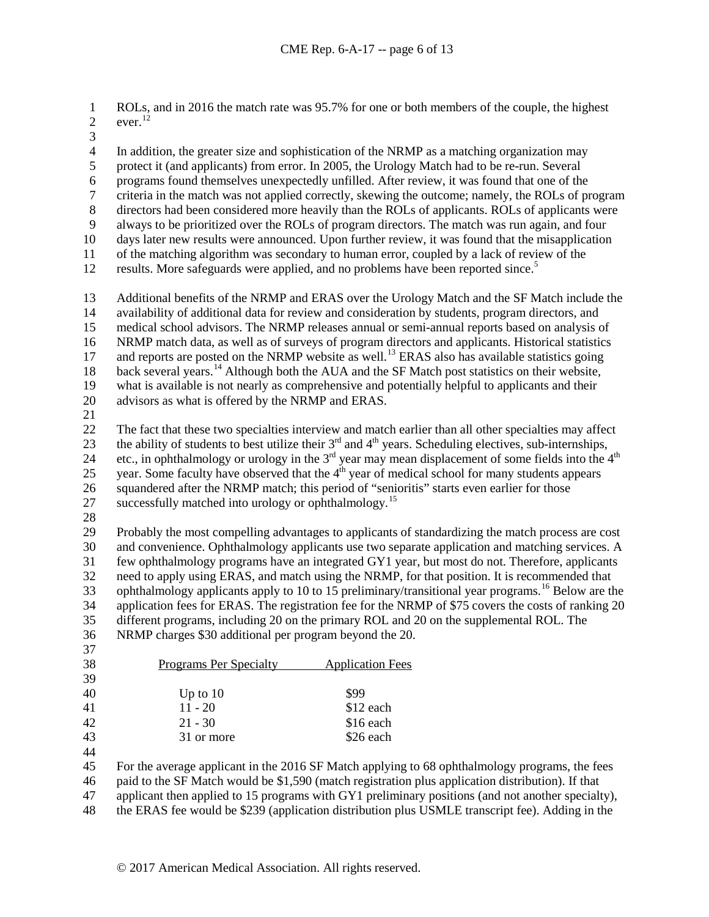1 ROLs, and in 2016 the match rate was 95.7% for one or both members of the couple, the highest ever.<sup>12</sup> ever.<sup>[12](#page-14-11)</sup>

4 In addition, the greater size and sophistication of the NRMP as a matching organization may<br>5 protect it (and applicants) from error. In 2005, the Urology Match had to be re-run. Several protect it (and applicants) from error. In 2005, the Urology Match had to be re-run. Several

programs found themselves unexpectedly unfilled. After review, it was found that one of the

7 criteria in the match was not applied correctly, skewing the outcome; namely, the ROLs of program<br>8 directors had been considered more heavily than the ROLs of applicants. ROLs of applicants were

directors had been considered more heavily than the ROLs of applicants. ROLs of applicants were

9 always to be prioritized over the ROLs of program directors. The match was run again, and four 10 days later new results were announced. Upon further review, it was found that the misapplication

 days later new results were announced. Upon further review, it was found that the misapplication of the matching algorithm was secondary to human error, coupled by a lack of review of the

12 results. More safeguards were applied, and no problems have been reported since.<sup>5</sup>

 Additional benefits of the NRMP and ERAS over the Urology Match and the SF Match include the availability of additional data for review and consideration by students, program directors, and medical school advisors. The NRMP releases annual or semi-annual reports based on analysis of NRMP match data, as well as of surveys of program directors and applicants. Historical statistics 17 and reports are posted on the NRMP website as well.<sup>[13](#page-14-12)</sup> ERAS also has available statistics going 18 back several years.<sup>[14](#page-14-13)</sup> Although both the AUA and the SF Match post statistics on their website, what is available is not nearly as comprehensive and potentially helpful to applicants and their

advisors as what is offered by the NRMP and ERAS.

 The fact that these two specialties interview and match earlier than all other specialties may affect 23 the ability of students to best utilize their  $3<sup>rd</sup>$  and  $4<sup>th</sup>$  years. Scheduling electives, sub-internships, 24 etc., in ophthalmology or urology in the 3<sup>rd</sup> year may mean displacement of some fields into the 4<sup>th</sup> 25 year. Some faculty have observed that the  $4<sup>th</sup>$  year of medical school for many students appears squandered after the NRMP match; this period of "senioritis" starts even earlier for those 27 successfully matched into urology or ophthalmology.<sup>[15](#page-14-14)</sup>

 Probably the most compelling advantages to applicants of standardizing the match process are cost and convenience. Ophthalmology applicants use two separate application and matching services. A few ophthalmology programs have an integrated GY1 year, but most do not. Therefore, applicants need to apply using ERAS, and match using the NRMP, for that position. It is recommended that 33 ophthalmology applicants apply to 10 to 15 preliminary/transitional year programs.<sup>[16](#page-14-15)</sup> Below are the application fees for ERAS. The registration fee for the NRMP of \$75 covers the costs of ranking 20 different programs, including 20 on the primary ROL and 20 on the supplemental ROL. The NRMP charges \$30 additional per program beyond the 20.

| 38 | Programs Per Specialty | <b>Application Fees</b> |
|----|------------------------|-------------------------|
| 39 |                        |                         |
| 40 | Up to $10$             | \$99                    |
| 41 | $11 - 20$              | \$12 each               |
| 42 | $21 - 30$              | \$16 each               |
| 43 | 31 or more             | \$26 each               |

For the average applicant in the 2016 SF Match applying to 68 ophthalmology programs, the fees

paid to the SF Match would be \$1,590 (match registration plus application distribution). If that

applicant then applied to 15 programs with GY1 preliminary positions (and not another specialty),

the ERAS fee would be \$239 (application distribution plus USMLE transcript fee). Adding in the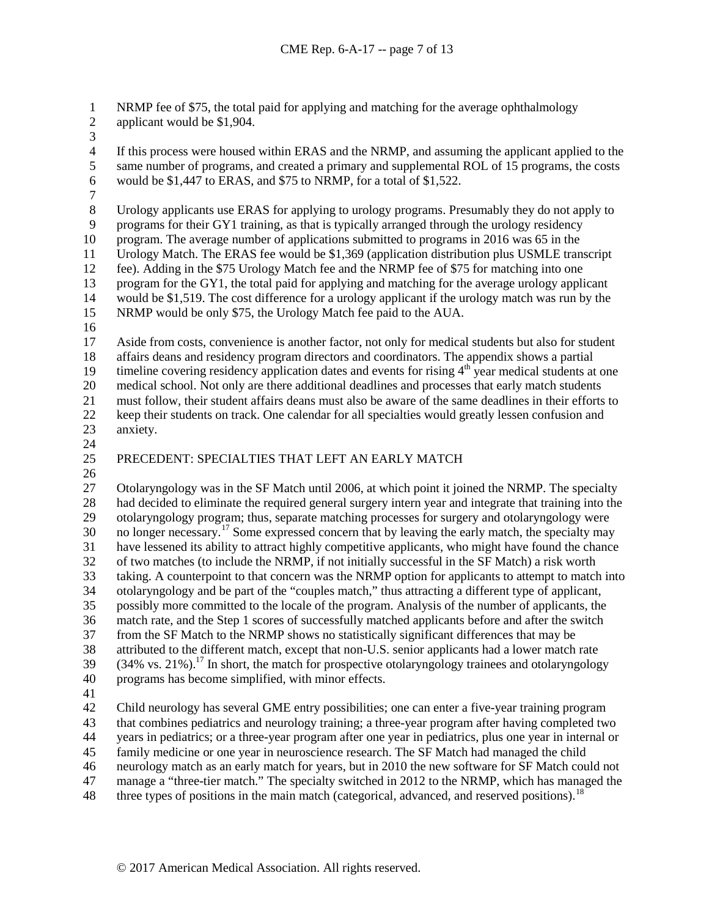1 NRMP fee of \$75, the total paid for applying and matching for the average ophthalmology applicant would be \$1,904.

- applicant would be \$1,904.
- 

4 If this process were housed within ERAS and the NRMP, and assuming the applicant applied to the same number of programs, and created a primary and supplemental ROL of 15 programs, the costs 5 same number of programs, and created a primary and supplemental ROL of 15 programs, the costs<br>6 would be \$1,447 to ERAS, and \$75 to NRMP, for a total of \$1,522. would be \$1,447 to ERAS, and \$75 to NRMP, for a total of \$1,522.

 $\frac{7}{8}$ Urology applicants use ERAS for applying to urology programs. Presumably they do not apply to 9 programs for their GY1 training, as that is typically arranged through the urology residency<br>10 program. The average number of applications submitted to programs in 2016 was 65 in the

program. The average number of applications submitted to programs in 2016 was 65 in the Urology Match. The ERAS fee would be \$1,369 (application distribution plus USMLE transcript

fee). Adding in the \$75 Urology Match fee and the NRMP fee of \$75 for matching into one

program for the GY1, the total paid for applying and matching for the average urology applicant

 would be \$1,519. The cost difference for a urology applicant if the urology match was run by the NRMP would be only \$75, the Urology Match fee paid to the AUA.

 $\frac{16}{17}$ 

Aside from costs, convenience is another factor, not only for medical students but also for student affairs deans and residency program directors and coordinators. The appendix shows a partial 19 timeline covering residency application dates and events for rising  $4<sup>th</sup>$  year medical students at one

medical school. Not only are there additional deadlines and processes that early match students

must follow, their student affairs deans must also be aware of the same deadlines in their efforts to

 keep their students on track. One calendar for all specialties would greatly lessen confusion and anxiety.

 $\frac{24}{25}$ 

# PRECEDENT: SPECIALTIES THAT LEFT AN EARLY MATCH

 Otolaryngology was in the SF Match until 2006, at which point it joined the NRMP. The specialty had decided to eliminate the required general surgery intern year and integrate that training into the otolaryngology program; thus, separate matching processes for surgery and otolaryngology were 30 no longer necessary.<sup>[17](#page-14-16)</sup> Some expressed concern that by leaving the early match, the specialty may have lessened its ability to attract highly competitive applicants, who might have found the chance of two matches (to include the NRMP, if not initially successful in the SF Match) a risk worth taking. A counterpoint to that concern was the NRMP option for applicants to attempt to match into otolaryngology and be part of the "couples match," thus attracting a different type of applicant, possibly more committed to the locale of the program. Analysis of the number of applicants, the match rate, and the Step 1 scores of successfully matched applicants before and after the switch from the SF Match to the NRMP shows no statistically significant differences that may be attributed to the different match, except that non-U.S. senior applicants had a lower match rate  $(34\% \text{ vs. } 21\%)$ .<sup>17</sup> In short, the match for prospective otolaryngology trainees and otolaryngology programs has become simplified, with minor effects.

 Child neurology has several GME entry possibilities; one can enter a five-year training program that combines pediatrics and neurology training; a three-year program after having completed two years in pediatrics; or a three-year program after one year in pediatrics, plus one year in internal or family medicine or one year in neuroscience research. The SF Match had managed the child neurology match as an early match for years, but in 2010 the new software for SF Match could not manage a "three-tier match." The specialty switched in 2012 to the NRMP, which has managed the

48 three types of positions in the main match (categorical, advanced, and reserved positions).<sup>[18](#page-14-17)</sup>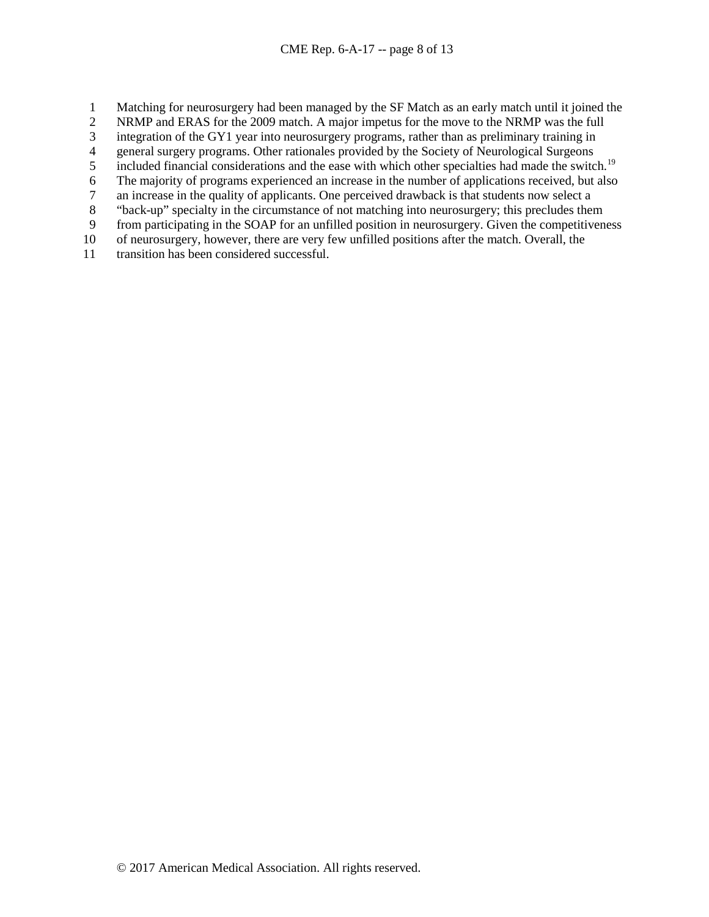- 1 Matching for neurosurgery had been managed by the SF Match as an early match until it joined the<br>2 NRMP and ERAS for the 2009 match. A major impetus for the move to the NRMP was the full
- 2 NRMP and ERAS for the 2009 match. A major impetus for the move to the NRMP was the full<br>3 integration of the GY1 year into neurosurgery programs, rather than as preliminary training in
- integration of the GY1 year into neurosurgery programs, rather than as preliminary training in
- 4 general surgery programs. Other rationales provided by the Society of Neurological Surgeons<br>5 included financial considerations and the ease with which other specialties had made the switc
- included financial considerations and the ease with which other specialties had made the switch.<sup>[19](#page-14-18)</sup>
- 6 The majority of programs experienced an increase in the number of applications received, but also<br>
7 an increase in the quality of applicants. One perceived drawback is that students now select a
- 7 an increase in the quality of applicants. One perceived drawback is that students now select a<br><sup>8</sup> "back-up" specialty in the circumstance of not matching into neurosurgery; this precludes then
- 8 "back-up" specialty in the circumstance of not matching into neurosurgery; this precludes them
- 9 from participating in the SOAP for an unfilled position in neurosurgery. Given the competitiveness 10 of neurosurgery, however, there are very few unfilled positions after the match. Overall, the
- of neurosurgery, however, there are very few unfilled positions after the match. Overall, the
- 11 transition has been considered successful.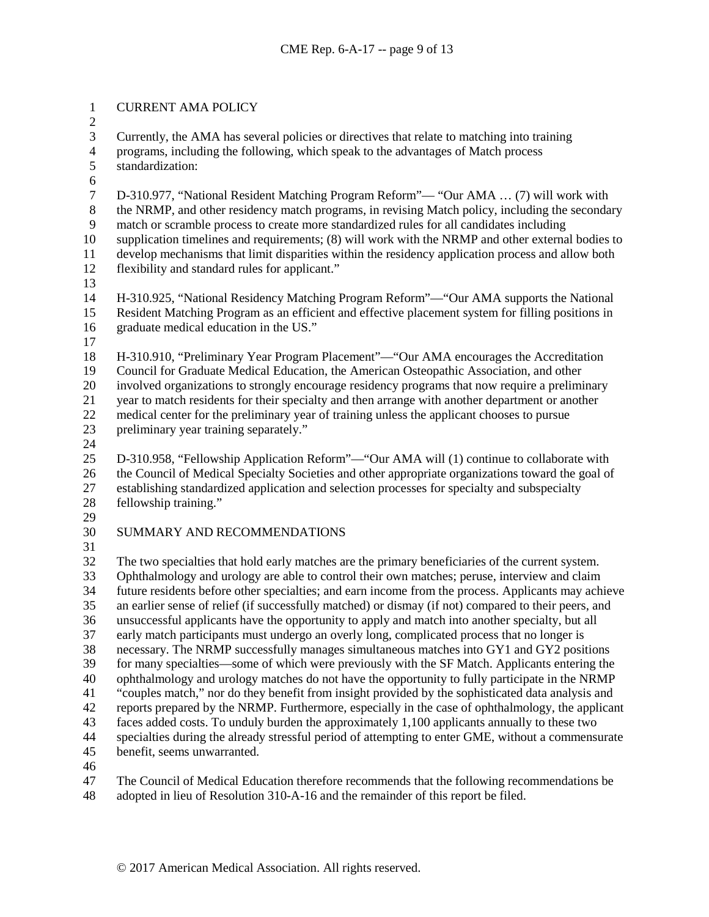## CURRENT AMA POLICY

 $\frac{2}{3}$ 

Currently, the AMA has several policies or directives that relate to matching into training

4 programs, including the following, which speak to the advantages of Match process standardization: standardization:

6<br>7 7 D-310.977, "National Resident Matching Program Reform"— "Our AMA ... (7) will work with<br>8 the NRMP, and other residency match programs, in revising Match policy, including the seconda the NRMP, and other residency match programs, in revising Match policy, including the secondary 9 match or scramble process to create more standardized rules for all candidates including<br>10 supplication timelines and requirements; (8) will work with the NRMP and other external supplication timelines and requirements; (8) will work with the NRMP and other external bodies to develop mechanisms that limit disparities within the residency application process and allow both

- flexibility and standard rules for applicant."
- 

 H-310.925, "National Residency Matching Program Reform"—"Our AMA supports the National Resident Matching Program as an efficient and effective placement system for filling positions in graduate medical education in the US."

 H-310.910, "Preliminary Year Program Placement"—"Our AMA encourages the Accreditation Council for Graduate Medical Education, the American Osteopathic Association, and other

involved organizations to strongly encourage residency programs that now require a preliminary

year to match residents for their specialty and then arrange with another department or another

- medical center for the preliminary year of training unless the applicant chooses to pursue preliminary year training separately."
- 

 D-310.958, "Fellowship Application Reform"—"Our AMA will (1) continue to collaborate with 26 the Council of Medical Specialty Societies and other appropriate organizations toward the goal of establishing standardized application and selection processes for specialty and subspecialty

- fellowship training."
- 

# SUMMARY AND RECOMMENDATIONS

 $\frac{31}{32}$ 

The two specialties that hold early matches are the primary beneficiaries of the current system. Ophthalmology and urology are able to control their own matches; peruse, interview and claim 34 future residents before other specialties; and earn income from the process. Applicants may achieve<br>35 an earlier sense of relief (if successfully matched) or dismay (if not) compared to their peers, and an earlier sense of relief (if successfully matched) or dismay (if not) compared to their peers, and unsuccessful applicants have the opportunity to apply and match into another specialty, but all early match participants must undergo an overly long, complicated process that no longer is necessary. The NRMP successfully manages simultaneous matches into GY1 and GY2 positions for many specialties—some of which were previously with the SF Match. Applicants entering the ophthalmology and urology matches do not have the opportunity to fully participate in the NRMP "couples match," nor do they benefit from insight provided by the sophisticated data analysis and reports prepared by the NRMP. Furthermore, especially in the case of ophthalmology, the applicant faces added costs. To unduly burden the approximately 1,100 applicants annually to these two specialties during the already stressful period of attempting to enter GME, without a commensurate benefit, seems unwarranted.

The Council of Medical Education therefore recommends that the following recommendations be

adopted in lieu of Resolution 310-A-16 and the remainder of this report be filed.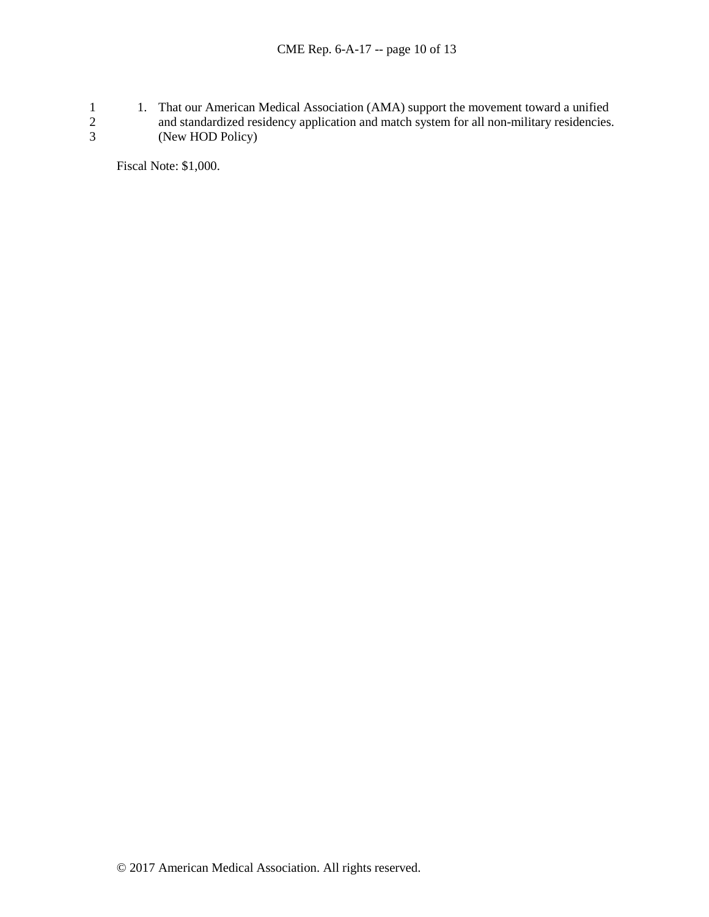1. That our American Medical Association (AMA) support the movement toward a unified<br>2 and standardized residency application and match system for all non-military residencies.<br>3 (New HOD Policy) and standardized residency application and match system for all non-military residencies. (New HOD Policy)

Fiscal Note: \$1,000.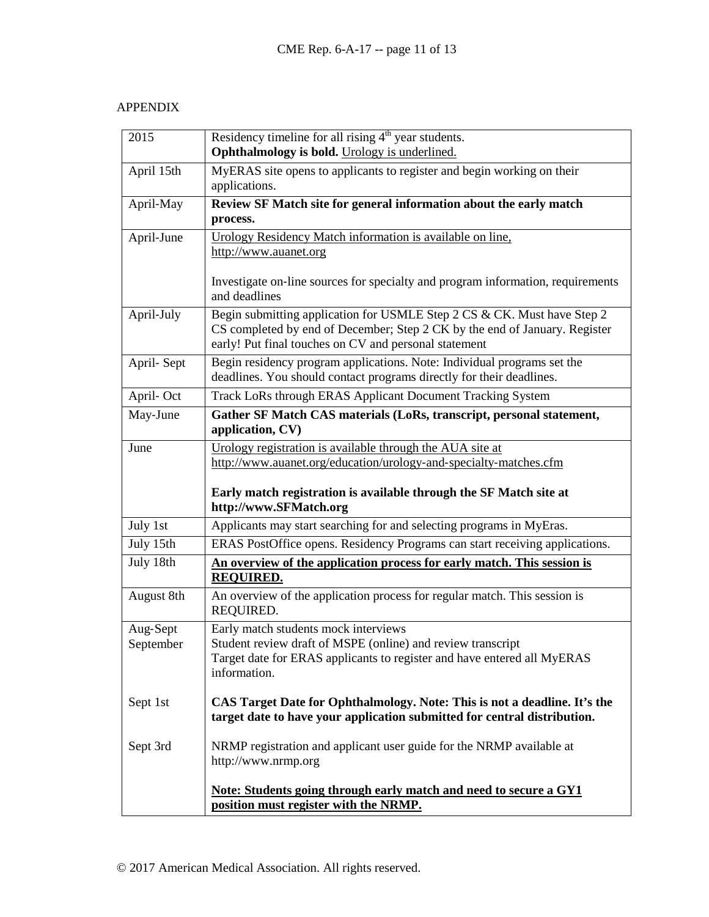## APPENDIX

| 2015       | Residency timeline for all rising $4th$ year students.<br>Ophthalmology is bold. Urology is underlined.                                                                                                        |  |
|------------|----------------------------------------------------------------------------------------------------------------------------------------------------------------------------------------------------------------|--|
| April 15th | MyERAS site opens to applicants to register and begin working on their                                                                                                                                         |  |
|            | applications.                                                                                                                                                                                                  |  |
| April-May  | Review SF Match site for general information about the early match                                                                                                                                             |  |
|            | process.                                                                                                                                                                                                       |  |
| April-June | Urology Residency Match information is available on line,                                                                                                                                                      |  |
|            | http://www.auanet.org                                                                                                                                                                                          |  |
|            | Investigate on-line sources for specialty and program information, requirements<br>and deadlines                                                                                                               |  |
| April-July | Begin submitting application for USMLE Step 2 CS & CK. Must have Step 2<br>CS completed by end of December; Step 2 CK by the end of January. Register<br>early! Put final touches on CV and personal statement |  |
| April-Sept | Begin residency program applications. Note: Individual programs set the<br>deadlines. You should contact programs directly for their deadlines.                                                                |  |
| April-Oct  | Track LoRs through ERAS Applicant Document Tracking System                                                                                                                                                     |  |
| May-June   | Gather SF Match CAS materials (LoRs, transcript, personal statement,<br>application, CV)                                                                                                                       |  |
| June       | Urology registration is available through the AUA site at                                                                                                                                                      |  |
|            | http://www.auanet.org/education/urology-and-specialty-matches.cfm                                                                                                                                              |  |
|            |                                                                                                                                                                                                                |  |
|            | Early match registration is available through the SF Match site at<br>http://www.SFMatch.org                                                                                                                   |  |
| July 1st   | Applicants may start searching for and selecting programs in MyEras.                                                                                                                                           |  |
| July 15th  | ERAS PostOffice opens. Residency Programs can start receiving applications.                                                                                                                                    |  |
| July 18th  | An overview of the application process for early match. This session is<br><b>REQUIRED.</b>                                                                                                                    |  |
| August 8th | An overview of the application process for regular match. This session is<br>REQUIRED.                                                                                                                         |  |
| Aug-Sept   | Early match students mock interviews                                                                                                                                                                           |  |
| September  | Student review draft of MSPE (online) and review transcript                                                                                                                                                    |  |
|            | Target date for ERAS applicants to register and have entered all MyERAS<br>information.                                                                                                                        |  |
| Sept 1st   | CAS Target Date for Ophthalmology. Note: This is not a deadline. It's the<br>target date to have your application submitted for central distribution.                                                          |  |
| Sept 3rd   | NRMP registration and applicant user guide for the NRMP available at<br>http://www.nrmp.org                                                                                                                    |  |
|            | Note: Students going through early match and need to secure a GY1<br>position must register with the NRMP.                                                                                                     |  |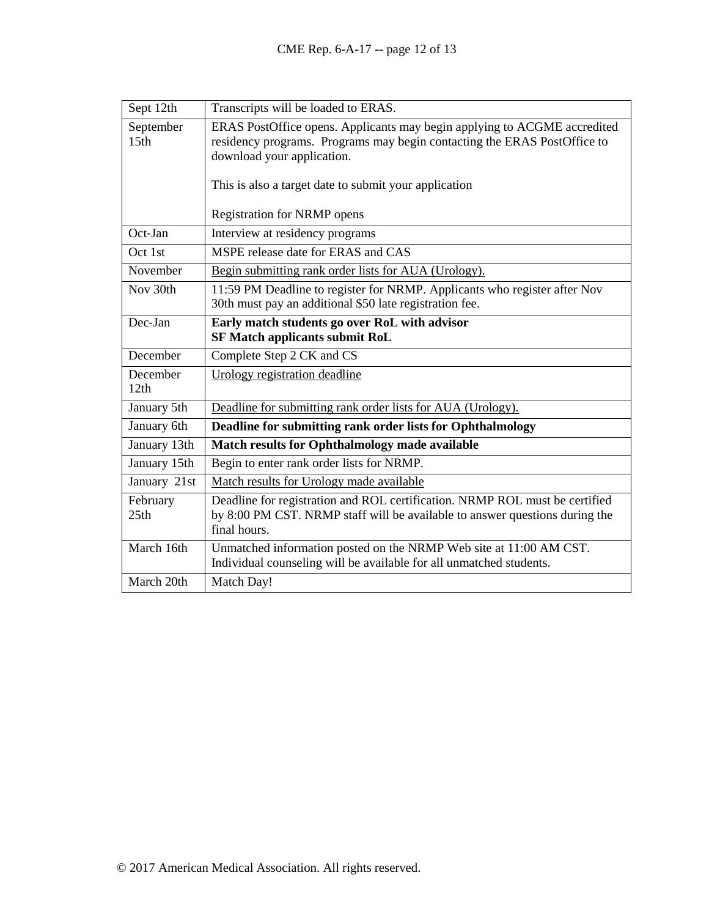| Sept 12th                     | Transcripts will be loaded to ERAS.                                                                                                                                                |
|-------------------------------|------------------------------------------------------------------------------------------------------------------------------------------------------------------------------------|
| September<br>15 <sub>th</sub> | ERAS PostOffice opens. Applicants may begin applying to ACGME accredited<br>residency programs. Programs may begin contacting the ERAS PostOffice to<br>download your application. |
|                               | This is also a target date to submit your application                                                                                                                              |
|                               | <b>Registration for NRMP opens</b>                                                                                                                                                 |
| Oct-Jan                       | Interview at residency programs                                                                                                                                                    |
| Oct 1st                       | MSPE release date for ERAS and CAS                                                                                                                                                 |
| November                      | Begin submitting rank order lists for AUA (Urology).                                                                                                                               |
| Nov 30th                      | 11:59 PM Deadline to register for NRMP. Applicants who register after Nov<br>30th must pay an additional \$50 late registration fee.                                               |
| Dec-Jan                       | Early match students go over RoL with advisor<br><b>SF Match applicants submit RoL</b>                                                                                             |
| December                      | Complete Step 2 CK and CS                                                                                                                                                          |
| December<br>12th              | Urology registration deadline                                                                                                                                                      |
| January 5th                   | Deadline for submitting rank order lists for AUA (Urology).                                                                                                                        |
| January 6th                   | Deadline for submitting rank order lists for Ophthalmology                                                                                                                         |
| January 13th                  | <b>Match results for Ophthalmology made available</b>                                                                                                                              |
| January 15th                  | Begin to enter rank order lists for NRMP.                                                                                                                                          |
| January 21st                  | Match results for Urology made available                                                                                                                                           |
| February<br>25th              | Deadline for registration and ROL certification. NRMP ROL must be certified<br>by 8:00 PM CST. NRMP staff will be available to answer questions during the<br>final hours.         |
| March 16th                    | Unmatched information posted on the NRMP Web site at 11:00 AM CST.<br>Individual counseling will be available for all unmatched students.                                          |
| March 20th                    | Match Day!                                                                                                                                                                         |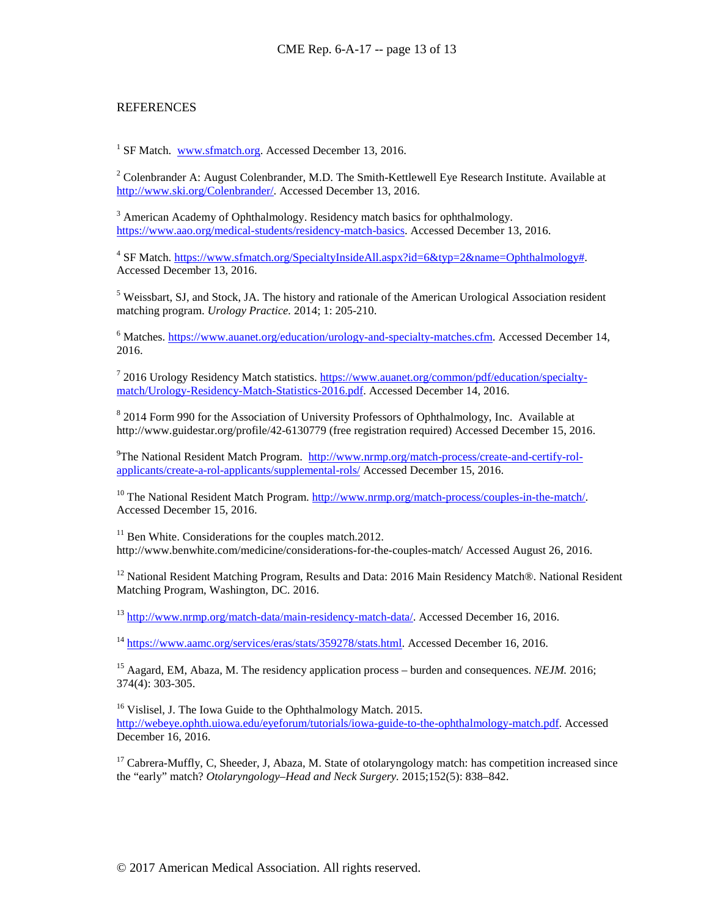#### **REFERENCES**

<sup>1</sup> SF Match. [www.sfmatch.org.](http://www.sfmatch.org/) Accessed December 13, 2016.

<sup>2</sup> Colenbrander A: August Colenbrander, M.D. The Smith-Kettlewell Eye Research Institute. Available at [http://www.ski.org/Colenbrander/.](http://www.ski.org/Colenbrander/) Accessed December 13, 2016.

<sup>3</sup> American Academy of Ophthalmology. Residency match basics for ophthalmology. [https://www.aao.org/medical-students/residency-match-basics.](https://www.aao.org/medical-students/residency-match-basics) Accessed December 13, 2016.

<sup>4</sup> SF Match[. https://www.sfmatch.org/SpecialtyInsideAll.aspx?id=6&typ=2&name=Ophthalmology#.](https://www.sfmatch.org/SpecialtyInsideAll.aspx?id=6&typ=2&name=Ophthalmology) Accessed December 13, 2016.

<sup>5</sup> Weissbart, SJ, and Stock, JA. The history and rationale of the American Urological Association resident matching program. *Urology Practice.* 2014; 1: 205-210.

<sup>6</sup> Matches. [https://www.auanet.org/education/urology-and-specialty-matches.cfm.](https://www.auanet.org/education/urology-and-specialty-matches.cfm) Accessed December 14, 2016.

<sup>7</sup> 2016 Urology Residency Match statistics. [https://www.auanet.org/common/pdf/education/specialty](https://www.auanet.org/common/pdf/education/specialty-match/Urology-Residency-Match-Statistics-2016.pdf)[match/Urology-Residency-Match-Statistics-2016.pdf.](https://www.auanet.org/common/pdf/education/specialty-match/Urology-Residency-Match-Statistics-2016.pdf) Accessed December 14, 2016.

<sup>8</sup> 2014 Form 990 for the Association of University Professors of Ophthalmology, Inc. Available at http://www.guidestar.org/profile/42-6130779 (free registration required) Accessed December 15, 2016.

<sup>9</sup>The National Resident Match Program. [http://www.nrmp.org/match-process/create-and-certify-rol](http://www.nrmp.org/match-process/create-and-certify-rol-applicants/create-a-rol-applicants/supplemental-rols/)[applicants/create-a-rol-applicants/supplemental-rols/](http://www.nrmp.org/match-process/create-and-certify-rol-applicants/create-a-rol-applicants/supplemental-rols/) Accessed December 15, 2016.

<sup>10</sup> The National Resident Match Program. [http://www.nrmp.org/match-process/couples-in-the-match/.](http://www.nrmp.org/match-process/couples-in-the-match/) Accessed December 15, 2016.

 $11$  Ben White. Considerations for the couples match.2012. http://www.benwhite.com/medicine/considerations-for-the-couples-match/ Accessed August 26, 2016.

<sup>12</sup> National Resident Matching Program, Results and Data: 2016 Main Residency Match®. National Resident Matching Program, Washington, DC. 2016.

<sup>13</sup> [http://www.nrmp.org/match-data/main-residency-match-data/.](http://www.nrmp.org/match-data/main-residency-match-data/) Accessed December 16, 2016.

<sup>14</sup> [https://www.aamc.org/services/eras/stats/359278/stats.html.](https://www.aamc.org/services/eras/stats/359278/stats.html) Accessed December 16, 2016.

<sup>15</sup> Aagard, EM, Abaza, M. The residency application process – burden and consequences. *NEJM*. 2016; 374(4): 303-305.

<sup>16</sup> Vislisel, J. The Iowa Guide to the Ophthalmology Match. 2015. [http://webeye.ophth.uiowa.edu/eyeforum/tutorials/iowa-guide-to-the-ophthalmology-match.pdf.](http://webeye.ophth.uiowa.edu/eyeforum/tutorials/iowa-guide-to-the-ophthalmology-match.pdf) Accessed December 16, 2016.

<sup>17</sup> Cabrera-Muffly, C, Sheeder, J, Abaza, M. State of otolaryngology match: has competition increased since the "early" match? *Otolaryngology–Head and Neck Surgery.* 2015;152(5): 838–842.